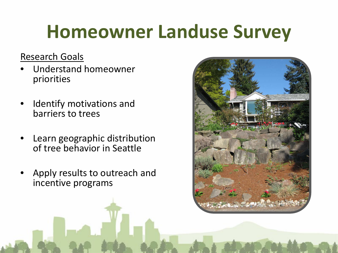#### Research Goals

- Understand homeowner priorities
- Identify motivations and barriers to trees
- Learn geographic distribution of tree behavior in Seattle
- Apply results to outreach and incentive programs

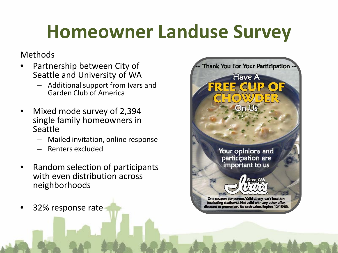#### Methods

- Partnership between City of Seattle and University of WA
	- Additional support from Ivars and Garden Club of America
- Mixed mode survey of 2,394 single family homeowners in Seattle
	- Mailed invitation, online response
	- Renters excluded
- Random selection of participants with even distribution across neighborhoods
- 32% response rate

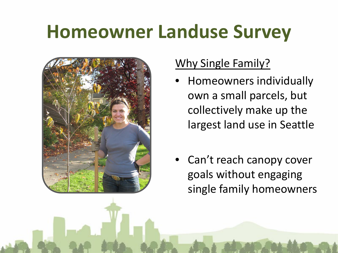

#### Why Single Family?

- Homeowners individually own a small parcels, but collectively make up the largest land use in Seattle
- Can't reach canopy cover goals without engaging single family homeowners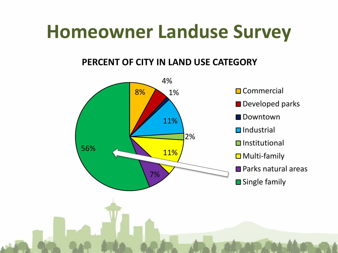#### **PERCENT OF CITY IN LAND USE CATEGORY**

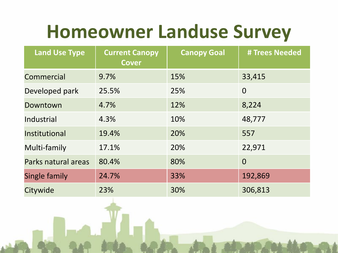| <b>Land Use Type</b> | <b>Current Canopy</b><br><b>Cover</b> | <b>Canopy Goal</b> | # Trees Needed |
|----------------------|---------------------------------------|--------------------|----------------|
| Commercial           | 9.7%                                  | 15%                | 33,415         |
| Developed park       | 25.5%                                 | 25%                | $\overline{0}$ |
| Downtown             | 4.7%                                  | 12%                | 8,224          |
| Industrial           | 4.3%                                  | 10%                | 48,777         |
| Institutional        | 19.4%                                 | 20%                | 557            |
| Multi-family         | 17.1%                                 | 20%                | 22,971         |
| Parks natural areas  | 80.4%                                 | 80%                | $\overline{0}$ |
| Single family        | 24.7%                                 | 33%                | 192,869        |
| Citywide             | 23%                                   | 30%                | 306,813        |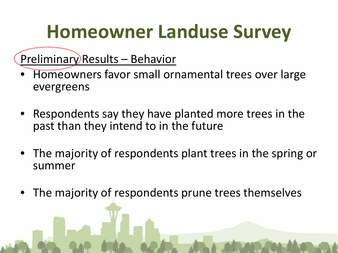#### Preliminary Results – Behavior

- Homeowners favor small ornamental trees over large evergreens
- Respondents say they have planted more trees in the past than they intend to in the future
- The majority of respondents plant trees in the spring or summer
- The majority of respondents prune trees themselves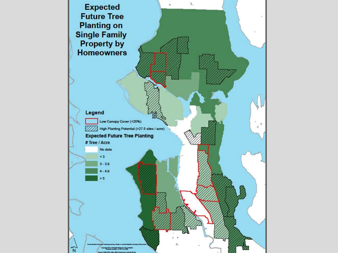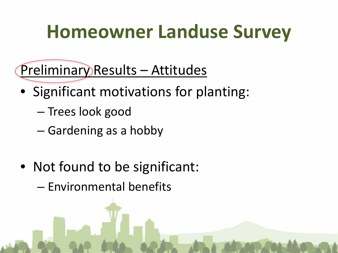Preliminary Results – Attitudes

- Significant motivations for planting:
	- Trees look good
	- Gardening as a hobby
- Not found to be significant:

– Environmental benefits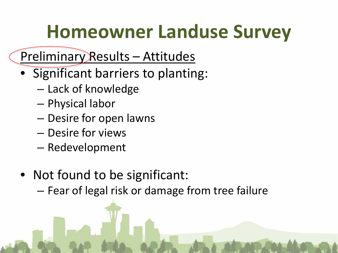#### Preliminary Results – Attitudes

- Significant barriers to planting:
	- Lack of knowledge
	- Physical labor
	- Desire for open lawns
	- Desire for views
	- Redevelopment
- Not found to be significant:
	- Fear of legal risk or damage from tree failure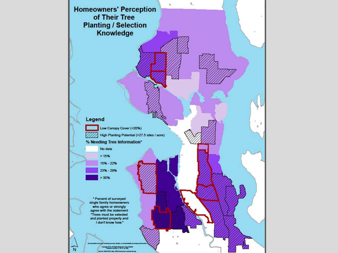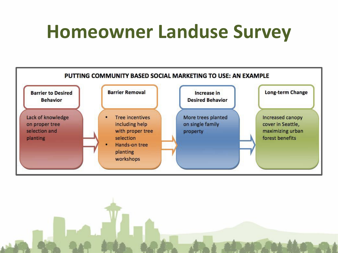